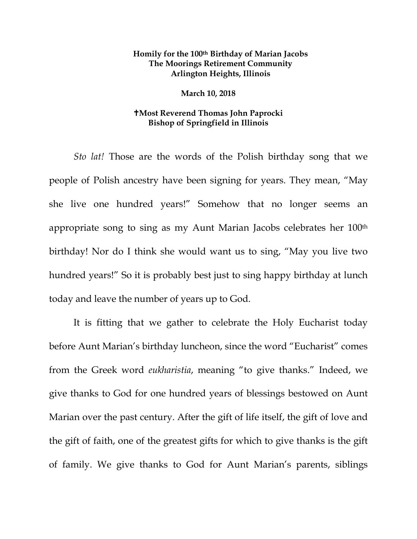## **Homily for the 100th Birthday of Marian Jacobs The Moorings Retirement Community Arlington Heights, Illinois**

## **March 10, 2018**

## **Most Reverend Thomas John Paprocki Bishop of Springfield in Illinois**

*Sto lat!* Those are the words of the Polish birthday song that we people of Polish ancestry have been signing for years. They mean, "May she live one hundred years!" Somehow that no longer seems an appropriate song to sing as my Aunt Marian Jacobs celebrates her 100th birthday! Nor do I think she would want us to sing, "May you live two hundred years!" So it is probably best just to sing happy birthday at lunch today and leave the number of years up to God.

It is fitting that we gather to celebrate the Holy Eucharist today before Aunt Marian's birthday luncheon, since the word "Eucharist" comes from the Greek word *eukharistia*, meaning "to give thanks." Indeed, we give thanks to God for one hundred years of blessings bestowed on Aunt Marian over the past century. After the gift of life itself, the gift of love and the gift of faith, one of the greatest gifts for which to give thanks is the gift of family. We give thanks to God for Aunt Marian's parents, siblings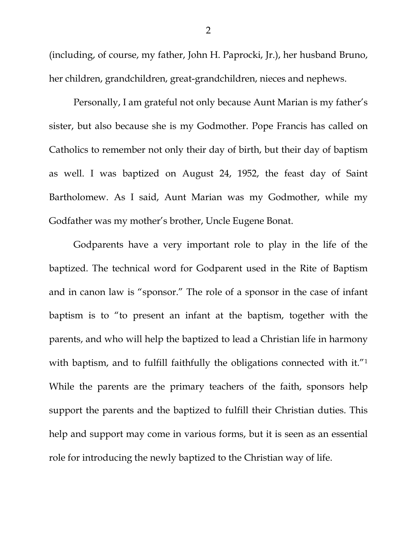(including, of course, my father, John H. Paprocki, Jr.), her husband Bruno, her children, grandchildren, great-grandchildren, nieces and nephews.

Personally, I am grateful not only because Aunt Marian is my father's sister, but also because she is my Godmother. Pope Francis has called on Catholics to remember not only their day of birth, but their day of baptism as well. I was baptized on August 24, 1952, the feast day of Saint Bartholomew. As I said, Aunt Marian was my Godmother, while my Godfather was my mother's brother, Uncle Eugene Bonat.

Godparents have a very important role to play in the life of the baptized. The technical word for Godparent used in the Rite of Baptism and in canon law is "sponsor." The role of a sponsor in the case of infant baptism is to "to present an infant at the baptism, together with the parents, and who will help the baptized to lead a Christian life in harmony with baptism, and to fulfill faithfully the obligations connected with it."<sup>1</sup> While the parents are the primary teachers of the faith, sponsors help support the parents and the baptized to fulfill their Christian duties. This help and support may come in various forms, but it is seen as an essential role for introducing the newly baptized to the Christian way of life.